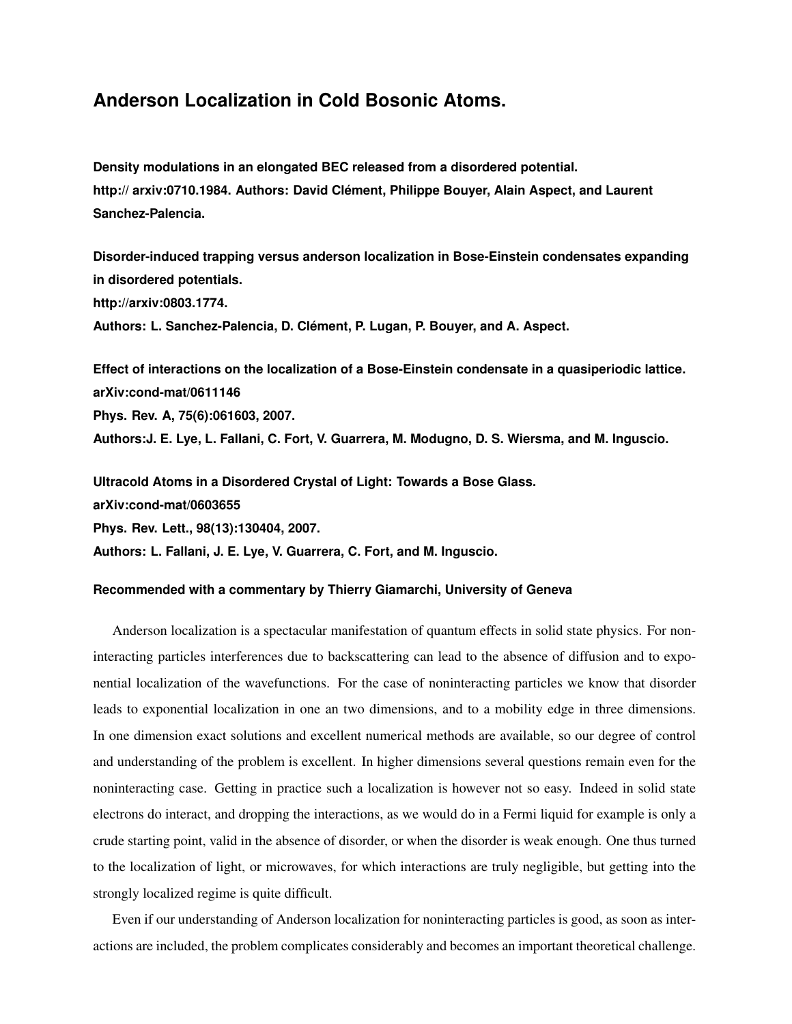## **Anderson Localization in Cold Bosonic Atoms.**

**Density modulations in an elongated BEC released from a disordered potential. http:// arxiv:0710.1984. Authors: David Clement, Philippe Bouyer, Alain Aspect, and Laurent ´ Sanchez-Palencia.**

**Disorder-induced trapping versus anderson localization in Bose-Einstein condensates expanding in disordered potentials. http://arxiv:0803.1774.** Authors: L. Sanchez-Palencia, D. Clément, P. Lugan, P. Bouyer, and A. Aspect.

**Effect of interactions on the localization of a Bose-Einstein condensate in a quasiperiodic lattice. arXiv:cond-mat/0611146 Phys. Rev. A, 75(6):061603, 2007. Authors:J. E. Lye, L. Fallani, C. Fort, V. Guarrera, M. Modugno, D. S. Wiersma, and M. Inguscio.**

**Ultracold Atoms in a Disordered Crystal of Light: Towards a Bose Glass. arXiv:cond-mat/0603655 Phys. Rev. Lett., 98(13):130404, 2007. Authors: L. Fallani, J. E. Lye, V. Guarrera, C. Fort, and M. Inguscio.**

## **Recommended with a commentary by Thierry Giamarchi, University of Geneva**

Anderson localization is a spectacular manifestation of quantum effects in solid state physics. For noninteracting particles interferences due to backscattering can lead to the absence of diffusion and to exponential localization of the wavefunctions. For the case of noninteracting particles we know that disorder leads to exponential localization in one an two dimensions, and to a mobility edge in three dimensions. In one dimension exact solutions and excellent numerical methods are available, so our degree of control and understanding of the problem is excellent. In higher dimensions several questions remain even for the noninteracting case. Getting in practice such a localization is however not so easy. Indeed in solid state electrons do interact, and dropping the interactions, as we would do in a Fermi liquid for example is only a crude starting point, valid in the absence of disorder, or when the disorder is weak enough. One thus turned to the localization of light, or microwaves, for which interactions are truly negligible, but getting into the strongly localized regime is quite difficult.

Even if our understanding of Anderson localization for noninteracting particles is good, as soon as interactions are included, the problem complicates considerably and becomes an important theoretical challenge.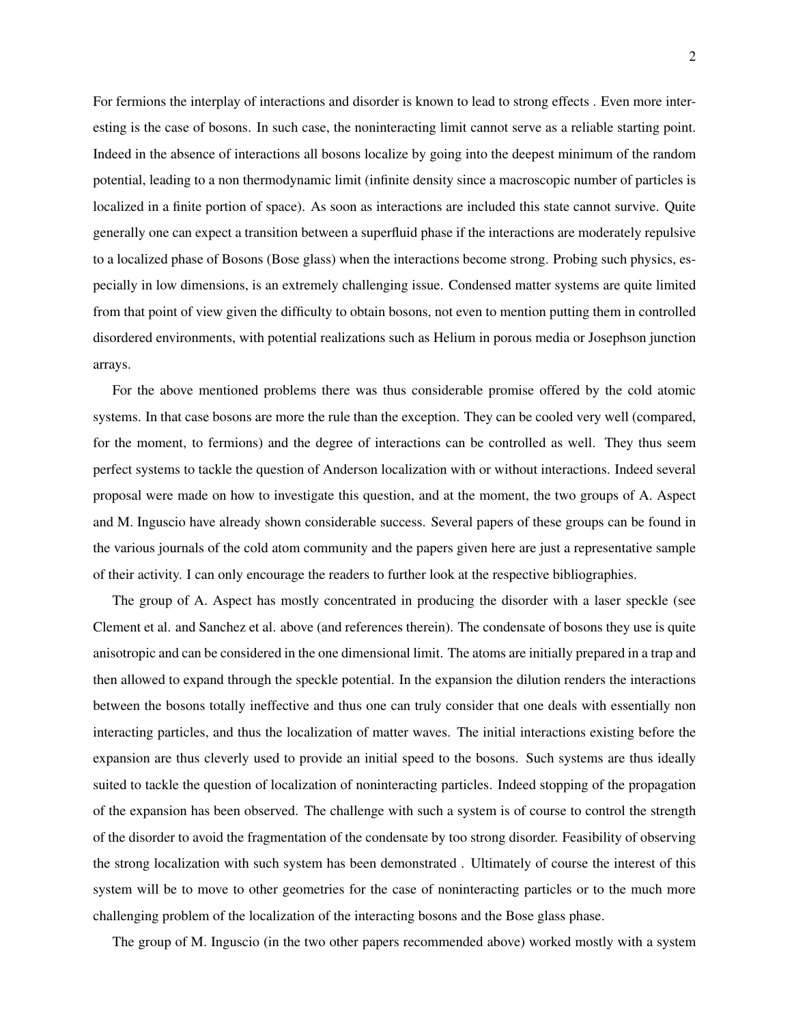For fermions the interplay of interactions and disorder is known to lead to strong effects . Even more interesting is the case of bosons. In such case, the noninteracting limit cannot serve as a reliable starting point. Indeed in the absence of interactions all bosons localize by going into the deepest minimum of the random potential, leading to a non thermodynamic limit (infinite density since a macroscopic number of particles is localized in a finite portion of space). As soon as interactions are included this state cannot survive. Quite generally one can expect a transition between a superfluid phase if the interactions are moderately repulsive to a localized phase of Bosons (Bose glass) when the interactions become strong. Probing such physics, especially in low dimensions, is an extremely challenging issue. Condensed matter systems are quite limited from that point of view given the difficulty to obtain bosons, not even to mention putting them in controlled disordered environments, with potential realizations such as Helium in porous media or Josephson junction arrays.

For the above mentioned problems there was thus considerable promise offered by the cold atomic systems. In that case bosons are more the rule than the exception. They can be cooled very well (compared, for the moment, to fermions) and the degree of interactions can be controlled as well. They thus seem perfect systems to tackle the question of Anderson localization with or without interactions. Indeed several proposal were made on how to investigate this question, and at the moment, the two groups of A. Aspect and M. Inguscio have already shown considerable success. Several papers of these groups can be found in the various journals of the cold atom community and the papers given here are just a representative sample of their activity. I can only encourage the readers to further look at the respective bibliographies.

The group of A. Aspect has mostly concentrated in producing the disorder with a laser speckle (see Clement et al. and Sanchez et al. above (and references therein). The condensate of bosons they use is quite anisotropic and can be considered in the one dimensional limit. The atoms are initially prepared in a trap and then allowed to expand through the speckle potential. In the expansion the dilution renders the interactions between the bosons totally ineffective and thus one can truly consider that one deals with essentially non interacting particles, and thus the localization of matter waves. The initial interactions existing before the expansion are thus cleverly used to provide an initial speed to the bosons. Such systems are thus ideally suited to tackle the question of localization of noninteracting particles. Indeed stopping of the propagation of the expansion has been observed. The challenge with such a system is of course to control the strength of the disorder to avoid the fragmentation of the condensate by too strong disorder. Feasibility of observing the strong localization with such system has been demonstrated . Ultimately of course the interest of this system will be to move to other geometries for the case of noninteracting particles or to the much more challenging problem of the localization of the interacting bosons and the Bose glass phase.

The group of M. Inguscio (in the two other papers recommended above) worked mostly with a system